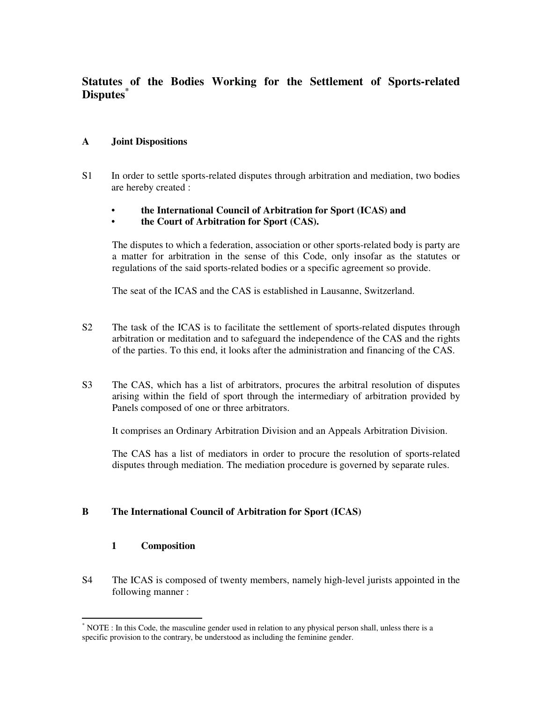# **Statutes of the Bodies Working for the Settlement of Sports-related Disputes \***

# **A Joint Dispositions**

- S1 In order to settle sports-related disputes through arbitration and mediation, two bodies are hereby created :
	- **the International Council of Arbitration for Sport (ICAS) and**
	- **the Court of Arbitration for Sport (CAS).**

The disputes to which a federation, association or other sports-related body is party are a matter for arbitration in the sense of this Code, only insofar as the statutes or regulations of the said sports-related bodies or a specific agreement so provide.

The seat of the ICAS and the CAS is established in Lausanne, Switzerland.

- S2 The task of the ICAS is to facilitate the settlement of sports-related disputes through arbitration or meditation and to safeguard the independence of the CAS and the rights of the parties. To this end, it looks after the administration and financing of the CAS.
- S3 The CAS, which has a list of arbitrators, procures the arbitral resolution of disputes arising within the field of sport through the intermediary of arbitration provided by Panels composed of one or three arbitrators.

It comprises an Ordinary Arbitration Division and an Appeals Arbitration Division.

The CAS has a list of mediators in order to procure the resolution of sports-related disputes through mediation. The mediation procedure is governed by separate rules.

# **B The International Council of Arbitration for Sport (ICAS)**

# **1 Composition**

S4 The ICAS is composed of twenty members, namely high-level jurists appointed in the following manner :

<sup>\*</sup> NOTE : In this Code, the masculine gender used in relation to any physical person shall, unless there is a specific provision to the contrary, be understood as including the feminine gender.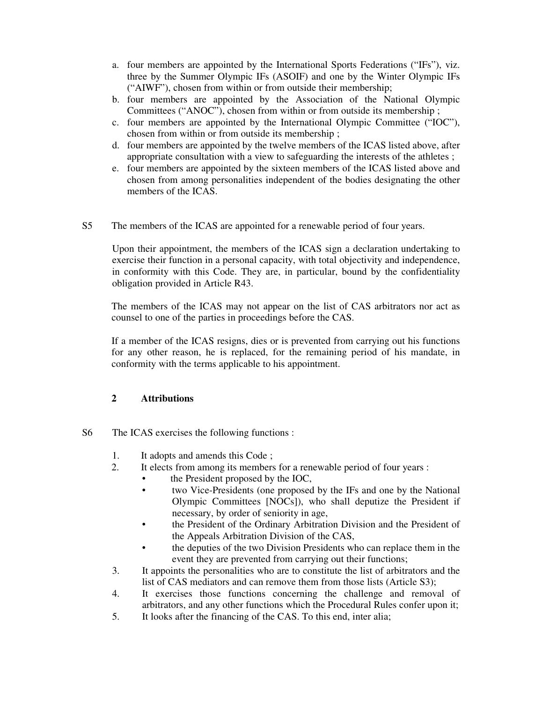- a. four members are appointed by the International Sports Federations ("IFs"), viz. three by the Summer Olympic IFs (ASOIF) and one by the Winter Olympic IFs ("AIWF"), chosen from within or from outside their membership;
- b. four members are appointed by the Association of the National Olympic Committees ("ANOC"), chosen from within or from outside its membership ;
- c. four members are appointed by the International Olympic Committee ("IOC"), chosen from within or from outside its membership ;
- d. four members are appointed by the twelve members of the ICAS listed above, after appropriate consultation with a view to safeguarding the interests of the athletes ;
- e. four members are appointed by the sixteen members of the ICAS listed above and chosen from among personalities independent of the bodies designating the other members of the ICAS.
- S5 The members of the ICAS are appointed for a renewable period of four years.

Upon their appointment, the members of the ICAS sign a declaration undertaking to exercise their function in a personal capacity, with total objectivity and independence, in conformity with this Code. They are, in particular, bound by the confidentiality obligation provided in Article R43.

The members of the ICAS may not appear on the list of CAS arbitrators nor act as counsel to one of the parties in proceedings before the CAS.

If a member of the ICAS resigns, dies or is prevented from carrying out his functions for any other reason, he is replaced, for the remaining period of his mandate, in conformity with the terms applicable to his appointment.

# **2 Attributions**

- S6 The ICAS exercises the following functions :
	- 1. It adopts and amends this Code ;
	- 2. It elects from among its members for a renewable period of four years :
		- the President proposed by the IOC,
			- two Vice-Presidents (one proposed by the IFs and one by the National Olympic Committees [NOCs]), who shall deputize the President if necessary, by order of seniority in age,
			- the President of the Ordinary Arbitration Division and the President of the Appeals Arbitration Division of the CAS,
			- the deputies of the two Division Presidents who can replace them in the event they are prevented from carrying out their functions;
	- 3. It appoints the personalities who are to constitute the list of arbitrators and the list of CAS mediators and can remove them from those lists (Article S3);
	- 4. It exercises those functions concerning the challenge and removal of arbitrators, and any other functions which the Procedural Rules confer upon it;
	- 5. It looks after the financing of the CAS. To this end, inter alia;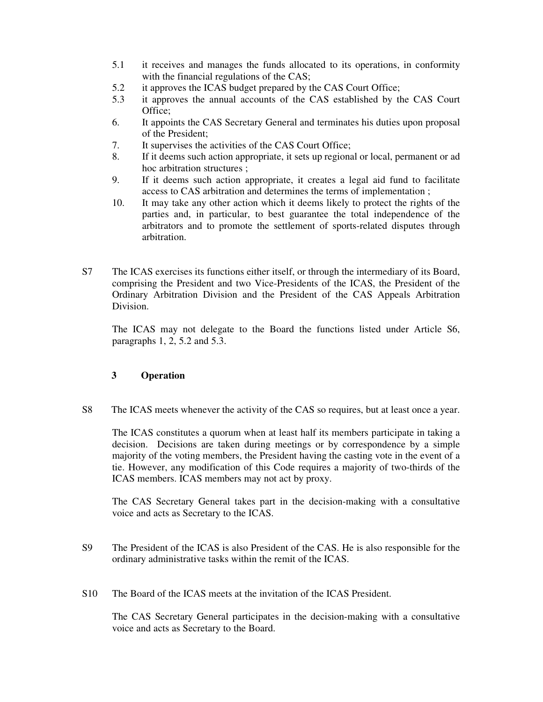- 5.1 it receives and manages the funds allocated to its operations, in conformity with the financial regulations of the CAS;
- 5.2 it approves the ICAS budget prepared by the CAS Court Office;
- 5.3 it approves the annual accounts of the CAS established by the CAS Court Office;
- 6. It appoints the CAS Secretary General and terminates his duties upon proposal of the President;
- 7. It supervises the activities of the CAS Court Office;
- 8. If it deems such action appropriate, it sets up regional or local, permanent or ad hoc arbitration structures ;
- 9. If it deems such action appropriate, it creates a legal aid fund to facilitate access to CAS arbitration and determines the terms of implementation ;
- 10. It may take any other action which it deems likely to protect the rights of the parties and, in particular, to best guarantee the total independence of the arbitrators and to promote the settlement of sports-related disputes through arbitration.
- S7 The ICAS exercises its functions either itself, or through the intermediary of its Board, comprising the President and two Vice-Presidents of the ICAS, the President of the Ordinary Arbitration Division and the President of the CAS Appeals Arbitration Division.

The ICAS may not delegate to the Board the functions listed under Article S6, paragraphs 1, 2, 5.2 and 5.3.

# **3 Operation**

S8 The ICAS meets whenever the activity of the CAS so requires, but at least once a year.

The ICAS constitutes a quorum when at least half its members participate in taking a decision. Decisions are taken during meetings or by correspondence by a simple majority of the voting members, the President having the casting vote in the event of a tie. However, any modification of this Code requires a majority of two-thirds of the ICAS members. ICAS members may not act by proxy.

The CAS Secretary General takes part in the decision-making with a consultative voice and acts as Secretary to the ICAS.

- S9 The President of the ICAS is also President of the CAS. He is also responsible for the ordinary administrative tasks within the remit of the ICAS.
- S10 The Board of the ICAS meets at the invitation of the ICAS President.

The CAS Secretary General participates in the decision-making with a consultative voice and acts as Secretary to the Board.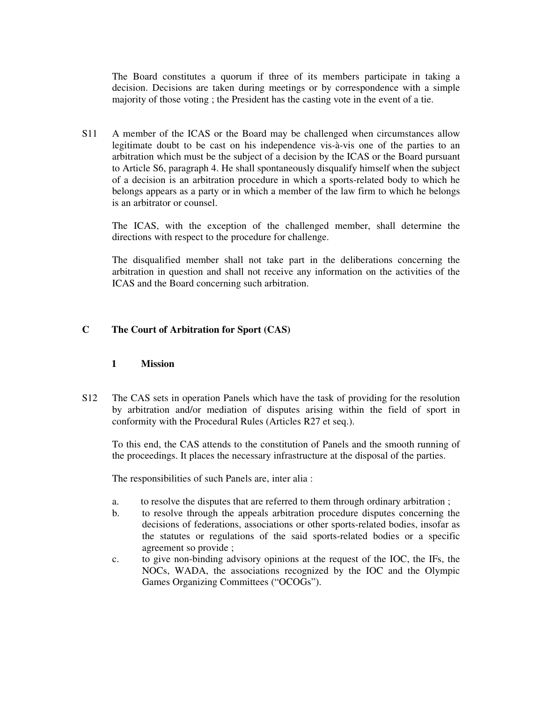The Board constitutes a quorum if three of its members participate in taking a decision. Decisions are taken during meetings or by correspondence with a simple majority of those voting ; the President has the casting vote in the event of a tie.

S11 A member of the ICAS or the Board may be challenged when circumstances allow legitimate doubt to be cast on his independence vis-à-vis one of the parties to an arbitration which must be the subject of a decision by the ICAS or the Board pursuant to Article S6, paragraph 4. He shall spontaneously disqualify himself when the subject of a decision is an arbitration procedure in which a sports-related body to which he belongs appears as a party or in which a member of the law firm to which he belongs is an arbitrator or counsel.

The ICAS, with the exception of the challenged member, shall determine the directions with respect to the procedure for challenge.

The disqualified member shall not take part in the deliberations concerning the arbitration in question and shall not receive any information on the activities of the ICAS and the Board concerning such arbitration.

# **C The Court of Arbitration for Sport (CAS)**

# **1 Mission**

S12 The CAS sets in operation Panels which have the task of providing for the resolution by arbitration and/or mediation of disputes arising within the field of sport in conformity with the Procedural Rules (Articles R27 et seq.).

To this end, the CAS attends to the constitution of Panels and the smooth running of the proceedings. It places the necessary infrastructure at the disposal of the parties.

The responsibilities of such Panels are, inter alia :

- a. to resolve the disputes that are referred to them through ordinary arbitration ;
- b. to resolve through the appeals arbitration procedure disputes concerning the decisions of federations, associations or other sports-related bodies, insofar as the statutes or regulations of the said sports-related bodies or a specific agreement so provide ;
- c. to give non-binding advisory opinions at the request of the IOC, the IFs, the NOCs, WADA, the associations recognized by the IOC and the Olympic Games Organizing Committees ("OCOGs").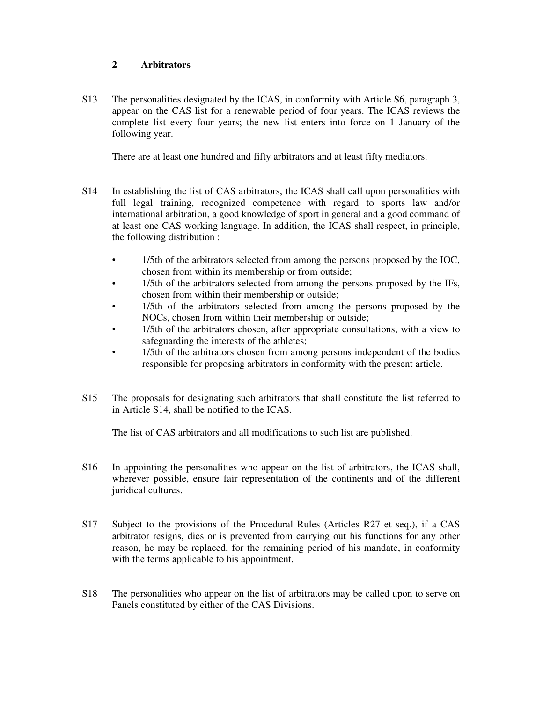# **2 Arbitrators**

S13 The personalities designated by the ICAS, in conformity with Article S6, paragraph 3, appear on the CAS list for a renewable period of four years. The ICAS reviews the complete list every four years; the new list enters into force on 1 January of the following year.

There are at least one hundred and fifty arbitrators and at least fifty mediators.

- S14 In establishing the list of CAS arbitrators, the ICAS shall call upon personalities with full legal training, recognized competence with regard to sports law and/or international arbitration, a good knowledge of sport in general and a good command of at least one CAS working language. In addition, the ICAS shall respect, in principle, the following distribution :
	- 1/5th of the arbitrators selected from among the persons proposed by the IOC, chosen from within its membership or from outside;
	- 1/5th of the arbitrators selected from among the persons proposed by the IFs, chosen from within their membership or outside;
	- 1/5th of the arbitrators selected from among the persons proposed by the NOCs, chosen from within their membership or outside;
	- 1/5th of the arbitrators chosen, after appropriate consultations, with a view to safeguarding the interests of the athletes;
	- 1/5th of the arbitrators chosen from among persons independent of the bodies responsible for proposing arbitrators in conformity with the present article.
- S15 The proposals for designating such arbitrators that shall constitute the list referred to in Article S14, shall be notified to the ICAS.

The list of CAS arbitrators and all modifications to such list are published.

- S16 In appointing the personalities who appear on the list of arbitrators, the ICAS shall, wherever possible, ensure fair representation of the continents and of the different juridical cultures.
- S17 Subject to the provisions of the Procedural Rules (Articles R27 et seq.), if a CAS arbitrator resigns, dies or is prevented from carrying out his functions for any other reason, he may be replaced, for the remaining period of his mandate, in conformity with the terms applicable to his appointment.
- S18 The personalities who appear on the list of arbitrators may be called upon to serve on Panels constituted by either of the CAS Divisions.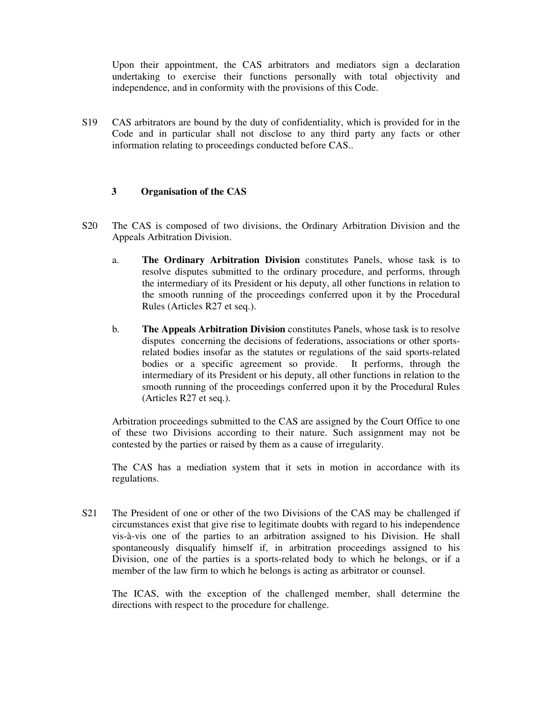Upon their appointment, the CAS arbitrators and mediators sign a declaration undertaking to exercise their functions personally with total objectivity and independence, and in conformity with the provisions of this Code.

S19 CAS arbitrators are bound by the duty of confidentiality, which is provided for in the Code and in particular shall not disclose to any third party any facts or other information relating to proceedings conducted before CAS..

# **3 Organisation of the CAS**

- S20 The CAS is composed of two divisions, the Ordinary Arbitration Division and the Appeals Arbitration Division.
	- a. **The Ordinary Arbitration Division** constitutes Panels, whose task is to resolve disputes submitted to the ordinary procedure, and performs, through the intermediary of its President or his deputy, all other functions in relation to the smooth running of the proceedings conferred upon it by the Procedural Rules (Articles R27 et seq.).
	- b. **The Appeals Arbitration Division** constitutes Panels, whose task is to resolve disputes concerning the decisions of federations, associations or other sportsrelated bodies insofar as the statutes or regulations of the said sports-related bodies or a specific agreement so provide. It performs, through the intermediary of its President or his deputy, all other functions in relation to the smooth running of the proceedings conferred upon it by the Procedural Rules (Articles R27 et seq.).

Arbitration proceedings submitted to the CAS are assigned by the Court Office to one of these two Divisions according to their nature. Such assignment may not be contested by the parties or raised by them as a cause of irregularity.

The CAS has a mediation system that it sets in motion in accordance with its regulations.

S21 The President of one or other of the two Divisions of the CAS may be challenged if circumstances exist that give rise to legitimate doubts with regard to his independence vis-à-vis one of the parties to an arbitration assigned to his Division. He shall spontaneously disqualify himself if, in arbitration proceedings assigned to his Division, one of the parties is a sports-related body to which he belongs, or if a member of the law firm to which he belongs is acting as arbitrator or counsel.

The ICAS, with the exception of the challenged member, shall determine the directions with respect to the procedure for challenge.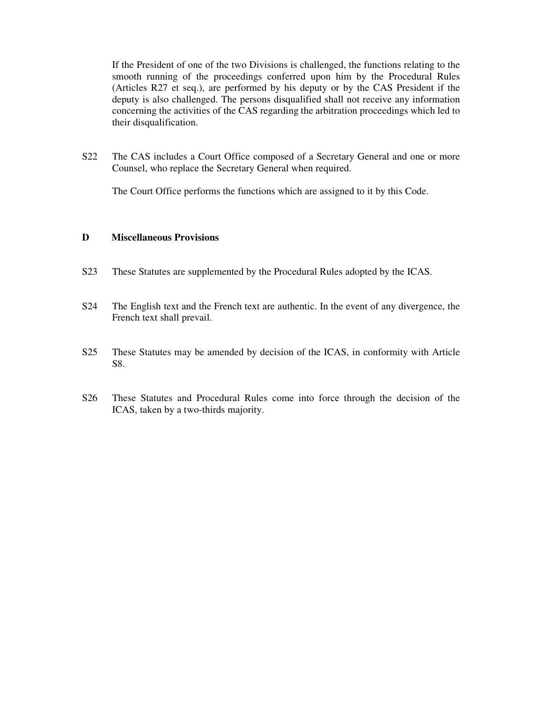If the President of one of the two Divisions is challenged, the functions relating to the smooth running of the proceedings conferred upon him by the Procedural Rules (Articles R27 et seq.), are performed by his deputy or by the CAS President if the deputy is also challenged. The persons disqualified shall not receive any information concerning the activities of the CAS regarding the arbitration proceedings which led to their disqualification.

S22 The CAS includes a Court Office composed of a Secretary General and one or more Counsel, who replace the Secretary General when required.

The Court Office performs the functions which are assigned to it by this Code.

#### **D Miscellaneous Provisions**

- S23 These Statutes are supplemented by the Procedural Rules adopted by the ICAS.
- S24 The English text and the French text are authentic. In the event of any divergence, the French text shall prevail.
- S25 These Statutes may be amended by decision of the ICAS, in conformity with Article S8.
- S26 These Statutes and Procedural Rules come into force through the decision of the ICAS, taken by a two-thirds majority.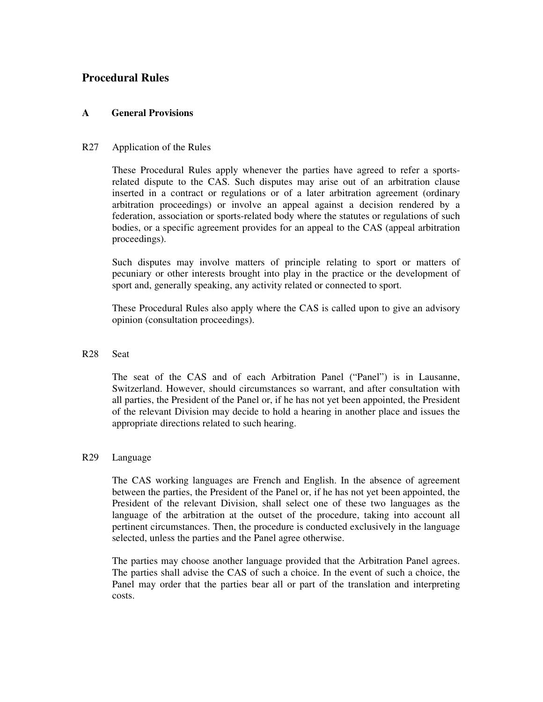# **Procedural Rules**

### **A General Provisions**

### R27 Application of the Rules

These Procedural Rules apply whenever the parties have agreed to refer a sportsrelated dispute to the CAS. Such disputes may arise out of an arbitration clause inserted in a contract or regulations or of a later arbitration agreement (ordinary arbitration proceedings) or involve an appeal against a decision rendered by a federation, association or sports-related body where the statutes or regulations of such bodies, or a specific agreement provides for an appeal to the CAS (appeal arbitration proceedings).

Such disputes may involve matters of principle relating to sport or matters of pecuniary or other interests brought into play in the practice or the development of sport and, generally speaking, any activity related or connected to sport.

These Procedural Rules also apply where the CAS is called upon to give an advisory opinion (consultation proceedings).

#### R28 Seat

The seat of the CAS and of each Arbitration Panel ("Panel") is in Lausanne, Switzerland. However, should circumstances so warrant, and after consultation with all parties, the President of the Panel or, if he has not yet been appointed, the President of the relevant Division may decide to hold a hearing in another place and issues the appropriate directions related to such hearing.

#### R29 Language

The CAS working languages are French and English. In the absence of agreement between the parties, the President of the Panel or, if he has not yet been appointed, the President of the relevant Division, shall select one of these two languages as the language of the arbitration at the outset of the procedure, taking into account all pertinent circumstances. Then, the procedure is conducted exclusively in the language selected, unless the parties and the Panel agree otherwise.

The parties may choose another language provided that the Arbitration Panel agrees. The parties shall advise the CAS of such a choice. In the event of such a choice, the Panel may order that the parties bear all or part of the translation and interpreting costs.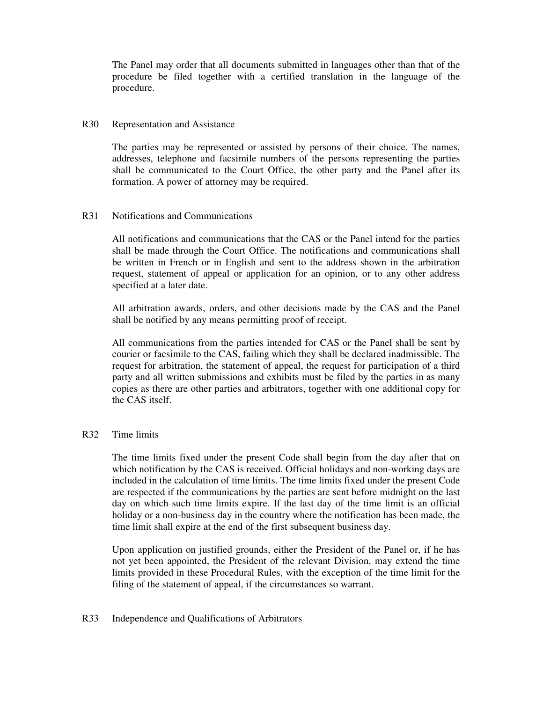The Panel may order that all documents submitted in languages other than that of the procedure be filed together with a certified translation in the language of the procedure.

#### R30 Representation and Assistance

The parties may be represented or assisted by persons of their choice. The names, addresses, telephone and facsimile numbers of the persons representing the parties shall be communicated to the Court Office, the other party and the Panel after its formation. A power of attorney may be required.

### R31 Notifications and Communications

All notifications and communications that the CAS or the Panel intend for the parties shall be made through the Court Office. The notifications and communications shall be written in French or in English and sent to the address shown in the arbitration request, statement of appeal or application for an opinion, or to any other address specified at a later date.

All arbitration awards, orders, and other decisions made by the CAS and the Panel shall be notified by any means permitting proof of receipt.

All communications from the parties intended for CAS or the Panel shall be sent by courier or facsimile to the CAS, failing which they shall be declared inadmissible. The request for arbitration, the statement of appeal, the request for participation of a third party and all written submissions and exhibits must be filed by the parties in as many copies as there are other parties and arbitrators, together with one additional copy for the CAS itself.

### R32 Time limits

The time limits fixed under the present Code shall begin from the day after that on which notification by the CAS is received. Official holidays and non-working days are included in the calculation of time limits. The time limits fixed under the present Code are respected if the communications by the parties are sent before midnight on the last day on which such time limits expire. If the last day of the time limit is an official holiday or a non-business day in the country where the notification has been made, the time limit shall expire at the end of the first subsequent business day.

Upon application on justified grounds, either the President of the Panel or, if he has not yet been appointed, the President of the relevant Division, may extend the time limits provided in these Procedural Rules, with the exception of the time limit for the filing of the statement of appeal, if the circumstances so warrant.

#### R33 Independence and Qualifications of Arbitrators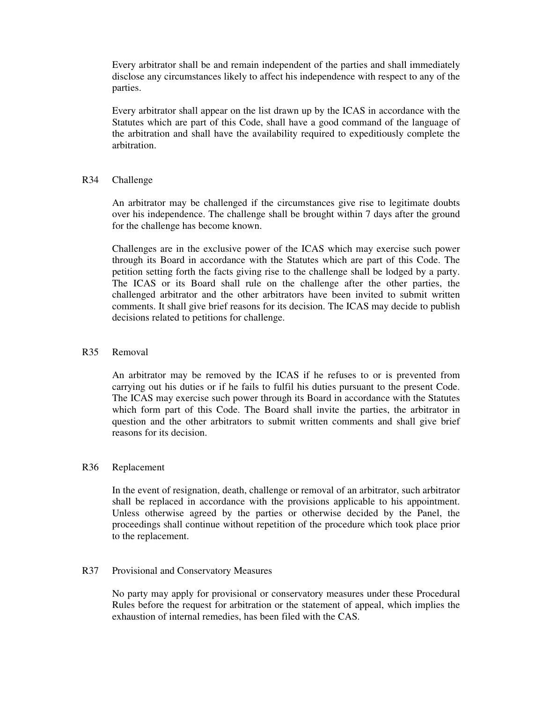Every arbitrator shall be and remain independent of the parties and shall immediately disclose any circumstances likely to affect his independence with respect to any of the parties.

Every arbitrator shall appear on the list drawn up by the ICAS in accordance with the Statutes which are part of this Code, shall have a good command of the language of the arbitration and shall have the availability required to expeditiously complete the arbitration.

### R34 Challenge

An arbitrator may be challenged if the circumstances give rise to legitimate doubts over his independence. The challenge shall be brought within 7 days after the ground for the challenge has become known.

Challenges are in the exclusive power of the ICAS which may exercise such power through its Board in accordance with the Statutes which are part of this Code. The petition setting forth the facts giving rise to the challenge shall be lodged by a party. The ICAS or its Board shall rule on the challenge after the other parties, the challenged arbitrator and the other arbitrators have been invited to submit written comments. It shall give brief reasons for its decision. The ICAS may decide to publish decisions related to petitions for challenge.

#### R35 Removal

An arbitrator may be removed by the ICAS if he refuses to or is prevented from carrying out his duties or if he fails to fulfil his duties pursuant to the present Code. The ICAS may exercise such power through its Board in accordance with the Statutes which form part of this Code. The Board shall invite the parties, the arbitrator in question and the other arbitrators to submit written comments and shall give brief reasons for its decision.

#### R36 Replacement

In the event of resignation, death, challenge or removal of an arbitrator, such arbitrator shall be replaced in accordance with the provisions applicable to his appointment. Unless otherwise agreed by the parties or otherwise decided by the Panel, the proceedings shall continue without repetition of the procedure which took place prior to the replacement.

#### R37 Provisional and Conservatory Measures

No party may apply for provisional or conservatory measures under these Procedural Rules before the request for arbitration or the statement of appeal, which implies the exhaustion of internal remedies, has been filed with the CAS.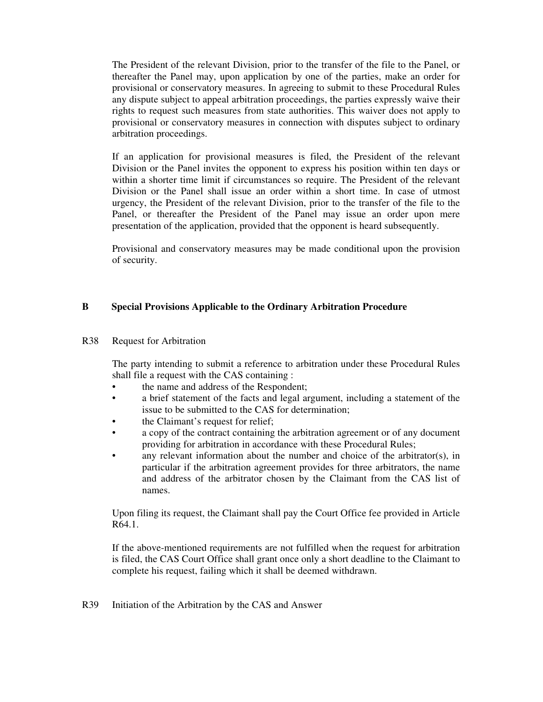The President of the relevant Division, prior to the transfer of the file to the Panel, or thereafter the Panel may, upon application by one of the parties, make an order for provisional or conservatory measures. In agreeing to submit to these Procedural Rules any dispute subject to appeal arbitration proceedings, the parties expressly waive their rights to request such measures from state authorities. This waiver does not apply to provisional or conservatory measures in connection with disputes subject to ordinary arbitration proceedings.

If an application for provisional measures is filed, the President of the relevant Division or the Panel invites the opponent to express his position within ten days or within a shorter time limit if circumstances so require. The President of the relevant Division or the Panel shall issue an order within a short time. In case of utmost urgency, the President of the relevant Division, prior to the transfer of the file to the Panel, or thereafter the President of the Panel may issue an order upon mere presentation of the application, provided that the opponent is heard subsequently.

Provisional and conservatory measures may be made conditional upon the provision of security.

### **B Special Provisions Applicable to the Ordinary Arbitration Procedure**

#### R38 Request for Arbitration

The party intending to submit a reference to arbitration under these Procedural Rules shall file a request with the CAS containing :

- the name and address of the Respondent;
- a brief statement of the facts and legal argument, including a statement of the issue to be submitted to the CAS for determination;
- the Claimant's request for relief;
- a copy of the contract containing the arbitration agreement or of any document providing for arbitration in accordance with these Procedural Rules;
- any relevant information about the number and choice of the arbitrator(s), in particular if the arbitration agreement provides for three arbitrators, the name and address of the arbitrator chosen by the Claimant from the CAS list of names.

Upon filing its request, the Claimant shall pay the Court Office fee provided in Article R64.1.

If the above-mentioned requirements are not fulfilled when the request for arbitration is filed, the CAS Court Office shall grant once only a short deadline to the Claimant to complete his request, failing which it shall be deemed withdrawn.

#### R39 Initiation of the Arbitration by the CAS and Answer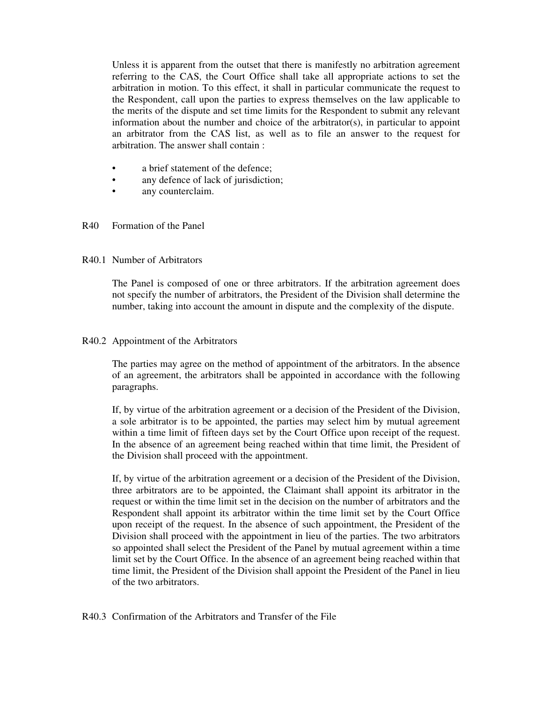Unless it is apparent from the outset that there is manifestly no arbitration agreement referring to the CAS, the Court Office shall take all appropriate actions to set the arbitration in motion. To this effect, it shall in particular communicate the request to the Respondent, call upon the parties to express themselves on the law applicable to the merits of the dispute and set time limits for the Respondent to submit any relevant information about the number and choice of the arbitrator(s), in particular to appoint an arbitrator from the CAS list, as well as to file an answer to the request for arbitration. The answer shall contain :

- a brief statement of the defence:
- any defence of lack of jurisdiction;
- any counterclaim.

### R40 Formation of the Panel

### R40.1 Number of Arbitrators

The Panel is composed of one or three arbitrators. If the arbitration agreement does not specify the number of arbitrators, the President of the Division shall determine the number, taking into account the amount in dispute and the complexity of the dispute.

### R40.2 Appointment of the Arbitrators

The parties may agree on the method of appointment of the arbitrators. In the absence of an agreement, the arbitrators shall be appointed in accordance with the following paragraphs.

If, by virtue of the arbitration agreement or a decision of the President of the Division, a sole arbitrator is to be appointed, the parties may select him by mutual agreement within a time limit of fifteen days set by the Court Office upon receipt of the request. In the absence of an agreement being reached within that time limit, the President of the Division shall proceed with the appointment.

If, by virtue of the arbitration agreement or a decision of the President of the Division, three arbitrators are to be appointed, the Claimant shall appoint its arbitrator in the request or within the time limit set in the decision on the number of arbitrators and the Respondent shall appoint its arbitrator within the time limit set by the Court Office upon receipt of the request. In the absence of such appointment, the President of the Division shall proceed with the appointment in lieu of the parties. The two arbitrators so appointed shall select the President of the Panel by mutual agreement within a time limit set by the Court Office. In the absence of an agreement being reached within that time limit, the President of the Division shall appoint the President of the Panel in lieu of the two arbitrators.

R40.3 Confirmation of the Arbitrators and Transfer of the File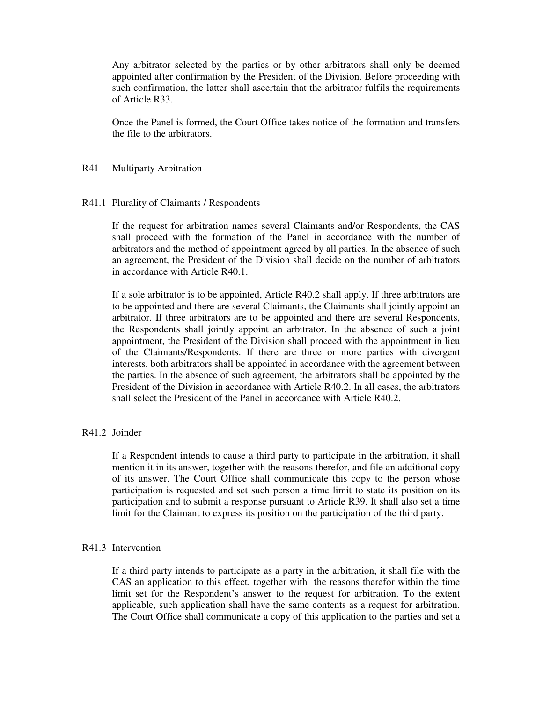Any arbitrator selected by the parties or by other arbitrators shall only be deemed appointed after confirmation by the President of the Division. Before proceeding with such confirmation, the latter shall ascertain that the arbitrator fulfils the requirements of Article R33.

Once the Panel is formed, the Court Office takes notice of the formation and transfers the file to the arbitrators.

#### R41 Multiparty Arbitration

#### R41.1 Plurality of Claimants / Respondents

If the request for arbitration names several Claimants and/or Respondents, the CAS shall proceed with the formation of the Panel in accordance with the number of arbitrators and the method of appointment agreed by all parties. In the absence of such an agreement, the President of the Division shall decide on the number of arbitrators in accordance with Article R40.1.

If a sole arbitrator is to be appointed, Article R40.2 shall apply. If three arbitrators are to be appointed and there are several Claimants, the Claimants shall jointly appoint an arbitrator. If three arbitrators are to be appointed and there are several Respondents, the Respondents shall jointly appoint an arbitrator. In the absence of such a joint appointment, the President of the Division shall proceed with the appointment in lieu of the Claimants/Respondents. If there are three or more parties with divergent interests, both arbitrators shall be appointed in accordance with the agreement between the parties. In the absence of such agreement, the arbitrators shall be appointed by the President of the Division in accordance with Article R40.2. In all cases, the arbitrators shall select the President of the Panel in accordance with Article R40.2.

#### R41.2 Joinder

If a Respondent intends to cause a third party to participate in the arbitration, it shall mention it in its answer, together with the reasons therefor, and file an additional copy of its answer. The Court Office shall communicate this copy to the person whose participation is requested and set such person a time limit to state its position on its participation and to submit a response pursuant to Article R39. It shall also set a time limit for the Claimant to express its position on the participation of the third party.

#### R41.3 Intervention

If a third party intends to participate as a party in the arbitration, it shall file with the CAS an application to this effect, together with the reasons therefor within the time limit set for the Respondent's answer to the request for arbitration. To the extent applicable, such application shall have the same contents as a request for arbitration. The Court Office shall communicate a copy of this application to the parties and set a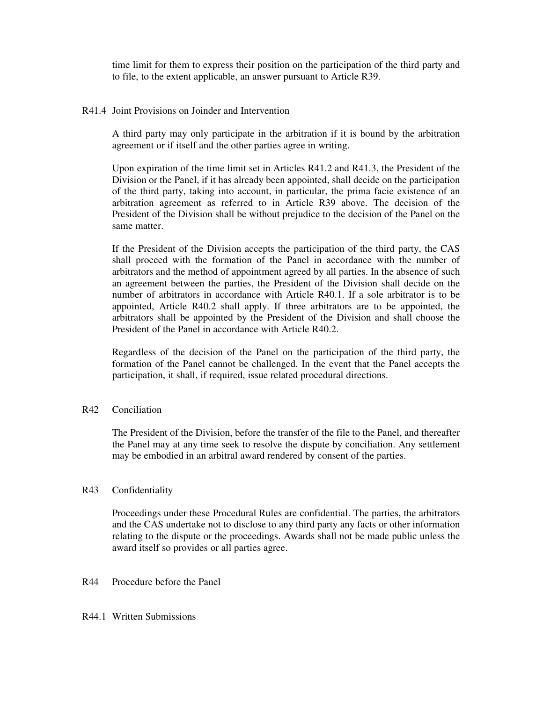time limit for them to express their position on the participation of the third party and to file, to the extent applicable, an answer pursuant to Article R39.

#### R41.4 Joint Provisions on Joinder and Intervention

A third party may only participate in the arbitration if it is bound by the arbitration agreement or if itself and the other parties agree in writing.

Upon expiration of the time limit set in Articles R41.2 and R41.3, the President of the Division or the Panel, if it has already been appointed, shall decide on the participation of the third party, taking into account, in particular, the prima facie existence of an arbitration agreement as referred to in Article R39 above. The decision of the President of the Division shall be without prejudice to the decision of the Panel on the same matter.

If the President of the Division accepts the participation of the third party, the CAS shall proceed with the formation of the Panel in accordance with the number of arbitrators and the method of appointment agreed by all parties. In the absence of such an agreement between the parties, the President of the Division shall decide on the number of arbitrators in accordance with Article R40.1. If a sole arbitrator is to be appointed, Article R40.2 shall apply. If three arbitrators are to be appointed, the arbitrators shall be appointed by the President of the Division and shall choose the President of the Panel in accordance with Article R40.2.

Regardless of the decision of the Panel on the participation of the third party, the formation of the Panel cannot be challenged. In the event that the Panel accepts the participation, it shall, if required, issue related procedural directions.

### R42 Conciliation

The President of the Division, before the transfer of the file to the Panel, and thereafter the Panel may at any time seek to resolve the dispute by conciliation. Any settlement may be embodied in an arbitral award rendered by consent of the parties.

### R43 Confidentiality

Proceedings under these Procedural Rules are confidential. The parties, the arbitrators and the CAS undertake not to disclose to any third party any facts or other information relating to the dispute or the proceedings. Awards shall not be made public unless the award itself so provides or all parties agree.

#### R44 Procedure before the Panel

### R44.1 Written Submissions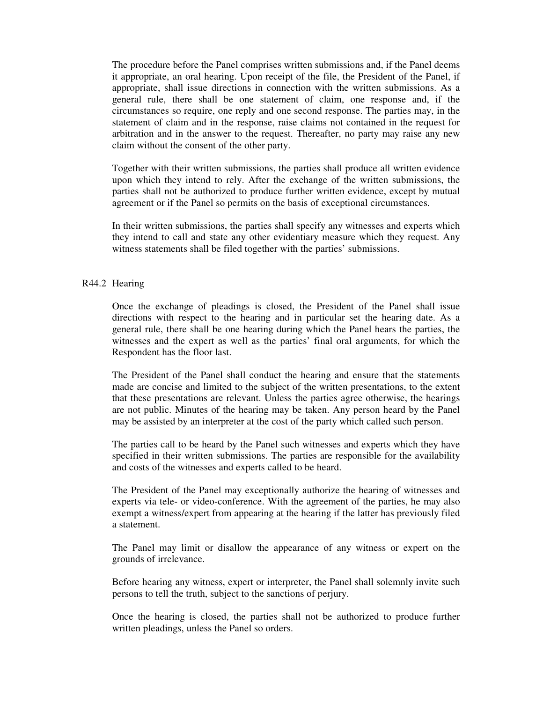The procedure before the Panel comprises written submissions and, if the Panel deems it appropriate, an oral hearing. Upon receipt of the file, the President of the Panel, if appropriate, shall issue directions in connection with the written submissions. As a general rule, there shall be one statement of claim, one response and, if the circumstances so require, one reply and one second response. The parties may, in the statement of claim and in the response, raise claims not contained in the request for arbitration and in the answer to the request. Thereafter, no party may raise any new claim without the consent of the other party.

Together with their written submissions, the parties shall produce all written evidence upon which they intend to rely. After the exchange of the written submissions, the parties shall not be authorized to produce further written evidence, except by mutual agreement or if the Panel so permits on the basis of exceptional circumstances.

In their written submissions, the parties shall specify any witnesses and experts which they intend to call and state any other evidentiary measure which they request. Any witness statements shall be filed together with the parties' submissions.

### R44.2 Hearing

Once the exchange of pleadings is closed, the President of the Panel shall issue directions with respect to the hearing and in particular set the hearing date. As a general rule, there shall be one hearing during which the Panel hears the parties, the witnesses and the expert as well as the parties' final oral arguments, for which the Respondent has the floor last.

The President of the Panel shall conduct the hearing and ensure that the statements made are concise and limited to the subject of the written presentations, to the extent that these presentations are relevant. Unless the parties agree otherwise, the hearings are not public. Minutes of the hearing may be taken. Any person heard by the Panel may be assisted by an interpreter at the cost of the party which called such person.

The parties call to be heard by the Panel such witnesses and experts which they have specified in their written submissions. The parties are responsible for the availability and costs of the witnesses and experts called to be heard.

The President of the Panel may exceptionally authorize the hearing of witnesses and experts via tele- or video-conference. With the agreement of the parties, he may also exempt a witness/expert from appearing at the hearing if the latter has previously filed a statement.

The Panel may limit or disallow the appearance of any witness or expert on the grounds of irrelevance.

Before hearing any witness, expert or interpreter, the Panel shall solemnly invite such persons to tell the truth, subject to the sanctions of perjury.

Once the hearing is closed, the parties shall not be authorized to produce further written pleadings, unless the Panel so orders.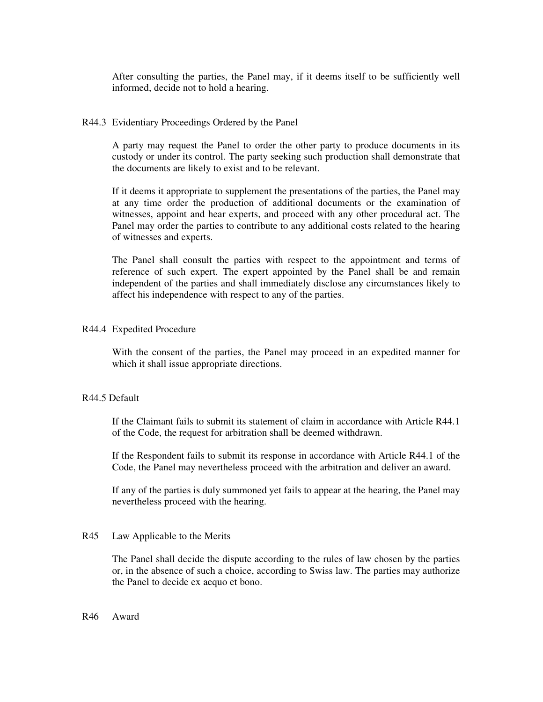After consulting the parties, the Panel may, if it deems itself to be sufficiently well informed, decide not to hold a hearing.

### R44.3 Evidentiary Proceedings Ordered by the Panel

A party may request the Panel to order the other party to produce documents in its custody or under its control. The party seeking such production shall demonstrate that the documents are likely to exist and to be relevant.

If it deems it appropriate to supplement the presentations of the parties, the Panel may at any time order the production of additional documents or the examination of witnesses, appoint and hear experts, and proceed with any other procedural act. The Panel may order the parties to contribute to any additional costs related to the hearing of witnesses and experts.

The Panel shall consult the parties with respect to the appointment and terms of reference of such expert. The expert appointed by the Panel shall be and remain independent of the parties and shall immediately disclose any circumstances likely to affect his independence with respect to any of the parties.

#### R44.4 Expedited Procedure

With the consent of the parties, the Panel may proceed in an expedited manner for which it shall issue appropriate directions.

#### R44.5 Default

If the Claimant fails to submit its statement of claim in accordance with Article R44.1 of the Code, the request for arbitration shall be deemed withdrawn.

If the Respondent fails to submit its response in accordance with Article R44.1 of the Code, the Panel may nevertheless proceed with the arbitration and deliver an award.

If any of the parties is duly summoned yet fails to appear at the hearing, the Panel may nevertheless proceed with the hearing.

#### R45 Law Applicable to the Merits

The Panel shall decide the dispute according to the rules of law chosen by the parties or, in the absence of such a choice, according to Swiss law. The parties may authorize the Panel to decide ex aequo et bono.

### R46 Award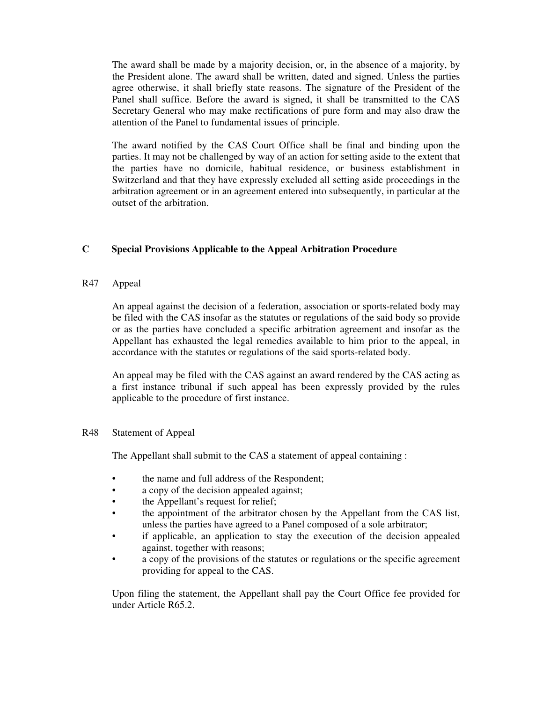The award shall be made by a majority decision, or, in the absence of a majority, by the President alone. The award shall be written, dated and signed. Unless the parties agree otherwise, it shall briefly state reasons. The signature of the President of the Panel shall suffice. Before the award is signed, it shall be transmitted to the CAS Secretary General who may make rectifications of pure form and may also draw the attention of the Panel to fundamental issues of principle.

The award notified by the CAS Court Office shall be final and binding upon the parties. It may not be challenged by way of an action for setting aside to the extent that the parties have no domicile, habitual residence, or business establishment in Switzerland and that they have expressly excluded all setting aside proceedings in the arbitration agreement or in an agreement entered into subsequently, in particular at the outset of the arbitration.

# **C Special Provisions Applicable to the Appeal Arbitration Procedure**

### R47 Appeal

An appeal against the decision of a federation, association or sports-related body may be filed with the CAS insofar as the statutes or regulations of the said body so provide or as the parties have concluded a specific arbitration agreement and insofar as the Appellant has exhausted the legal remedies available to him prior to the appeal, in accordance with the statutes or regulations of the said sports-related body.

An appeal may be filed with the CAS against an award rendered by the CAS acting as a first instance tribunal if such appeal has been expressly provided by the rules applicable to the procedure of first instance.

#### R48 Statement of Appeal

The Appellant shall submit to the CAS a statement of appeal containing :

- the name and full address of the Respondent;
- a copy of the decision appealed against;
- the Appellant's request for relief;
- the appointment of the arbitrator chosen by the Appellant from the CAS list, unless the parties have agreed to a Panel composed of a sole arbitrator;
- if applicable, an application to stay the execution of the decision appealed against, together with reasons;
- a copy of the provisions of the statutes or regulations or the specific agreement providing for appeal to the CAS.

Upon filing the statement, the Appellant shall pay the Court Office fee provided for under Article R65.2.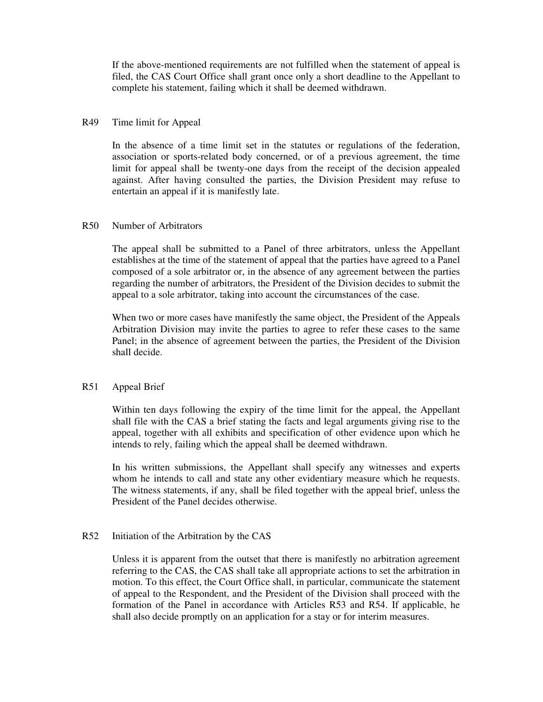If the above-mentioned requirements are not fulfilled when the statement of appeal is filed, the CAS Court Office shall grant once only a short deadline to the Appellant to complete his statement, failing which it shall be deemed withdrawn.

### R49 Time limit for Appeal

In the absence of a time limit set in the statutes or regulations of the federation, association or sports-related body concerned, or of a previous agreement, the time limit for appeal shall be twenty-one days from the receipt of the decision appealed against. After having consulted the parties, the Division President may refuse to entertain an appeal if it is manifestly late.

#### R50 Number of Arbitrators

The appeal shall be submitted to a Panel of three arbitrators, unless the Appellant establishes at the time of the statement of appeal that the parties have agreed to a Panel composed of a sole arbitrator or, in the absence of any agreement between the parties regarding the number of arbitrators, the President of the Division decides to submit the appeal to a sole arbitrator, taking into account the circumstances of the case.

When two or more cases have manifestly the same object, the President of the Appeals Arbitration Division may invite the parties to agree to refer these cases to the same Panel; in the absence of agreement between the parties, the President of the Division shall decide.

### R51 Appeal Brief

Within ten days following the expiry of the time limit for the appeal, the Appellant shall file with the CAS a brief stating the facts and legal arguments giving rise to the appeal, together with all exhibits and specification of other evidence upon which he intends to rely, failing which the appeal shall be deemed withdrawn.

In his written submissions, the Appellant shall specify any witnesses and experts whom he intends to call and state any other evidentiary measure which he requests. The witness statements, if any, shall be filed together with the appeal brief, unless the President of the Panel decides otherwise.

### R52 Initiation of the Arbitration by the CAS

Unless it is apparent from the outset that there is manifestly no arbitration agreement referring to the CAS, the CAS shall take all appropriate actions to set the arbitration in motion. To this effect, the Court Office shall, in particular, communicate the statement of appeal to the Respondent, and the President of the Division shall proceed with the formation of the Panel in accordance with Articles R53 and R54. If applicable, he shall also decide promptly on an application for a stay or for interim measures.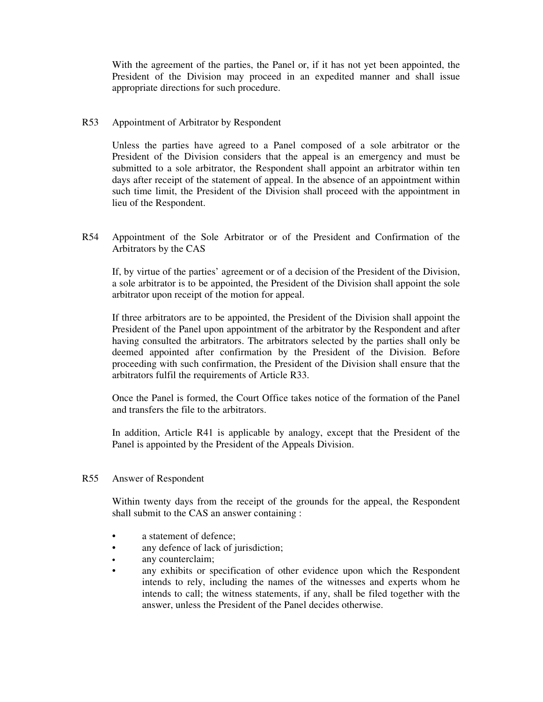With the agreement of the parties, the Panel or, if it has not yet been appointed, the President of the Division may proceed in an expedited manner and shall issue appropriate directions for such procedure.

### R53 Appointment of Arbitrator by Respondent

Unless the parties have agreed to a Panel composed of a sole arbitrator or the President of the Division considers that the appeal is an emergency and must be submitted to a sole arbitrator, the Respondent shall appoint an arbitrator within ten days after receipt of the statement of appeal. In the absence of an appointment within such time limit, the President of the Division shall proceed with the appointment in lieu of the Respondent.

R54 Appointment of the Sole Arbitrator or of the President and Confirmation of the Arbitrators by the CAS

If, by virtue of the parties' agreement or of a decision of the President of the Division, a sole arbitrator is to be appointed, the President of the Division shall appoint the sole arbitrator upon receipt of the motion for appeal.

If three arbitrators are to be appointed, the President of the Division shall appoint the President of the Panel upon appointment of the arbitrator by the Respondent and after having consulted the arbitrators. The arbitrators selected by the parties shall only be deemed appointed after confirmation by the President of the Division. Before proceeding with such confirmation, the President of the Division shall ensure that the arbitrators fulfil the requirements of Article R33.

Once the Panel is formed, the Court Office takes notice of the formation of the Panel and transfers the file to the arbitrators.

In addition, Article R41 is applicable by analogy, except that the President of the Panel is appointed by the President of the Appeals Division.

#### R55 Answer of Respondent

Within twenty days from the receipt of the grounds for the appeal, the Respondent shall submit to the CAS an answer containing :

- a statement of defence;
- any defence of lack of jurisdiction;
- any counterclaim;
- any exhibits or specification of other evidence upon which the Respondent intends to rely, including the names of the witnesses and experts whom he intends to call; the witness statements, if any, shall be filed together with the answer, unless the President of the Panel decides otherwise.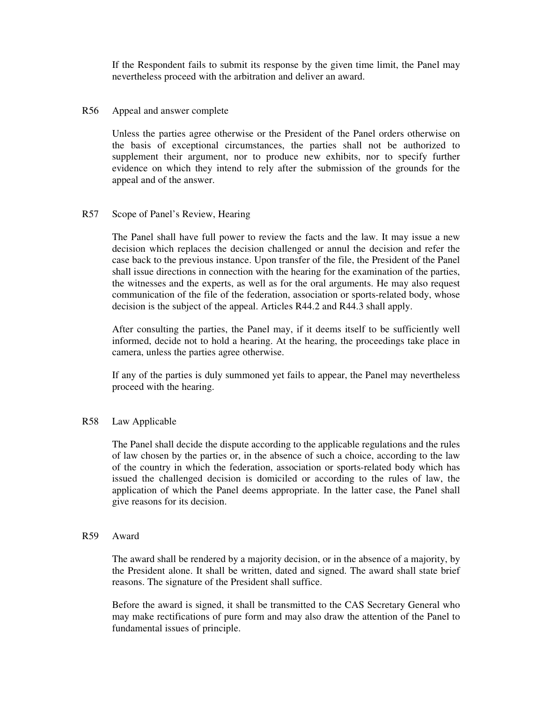If the Respondent fails to submit its response by the given time limit, the Panel may nevertheless proceed with the arbitration and deliver an award.

#### R56 Appeal and answer complete

Unless the parties agree otherwise or the President of the Panel orders otherwise on the basis of exceptional circumstances, the parties shall not be authorized to supplement their argument, nor to produce new exhibits, nor to specify further evidence on which they intend to rely after the submission of the grounds for the appeal and of the answer.

### R57 Scope of Panel's Review, Hearing

The Panel shall have full power to review the facts and the law. It may issue a new decision which replaces the decision challenged or annul the decision and refer the case back to the previous instance. Upon transfer of the file, the President of the Panel shall issue directions in connection with the hearing for the examination of the parties, the witnesses and the experts, as well as for the oral arguments. He may also request communication of the file of the federation, association or sports-related body, whose decision is the subject of the appeal. Articles R44.2 and R44.3 shall apply.

After consulting the parties, the Panel may, if it deems itself to be sufficiently well informed, decide not to hold a hearing. At the hearing, the proceedings take place in camera, unless the parties agree otherwise.

If any of the parties is duly summoned yet fails to appear, the Panel may nevertheless proceed with the hearing.

### R58 Law Applicable

The Panel shall decide the dispute according to the applicable regulations and the rules of law chosen by the parties or, in the absence of such a choice, according to the law of the country in which the federation, association or sports-related body which has issued the challenged decision is domiciled or according to the rules of law, the application of which the Panel deems appropriate. In the latter case, the Panel shall give reasons for its decision.

#### R59 Award

The award shall be rendered by a majority decision, or in the absence of a majority, by the President alone. It shall be written, dated and signed. The award shall state brief reasons. The signature of the President shall suffice.

Before the award is signed, it shall be transmitted to the CAS Secretary General who may make rectifications of pure form and may also draw the attention of the Panel to fundamental issues of principle.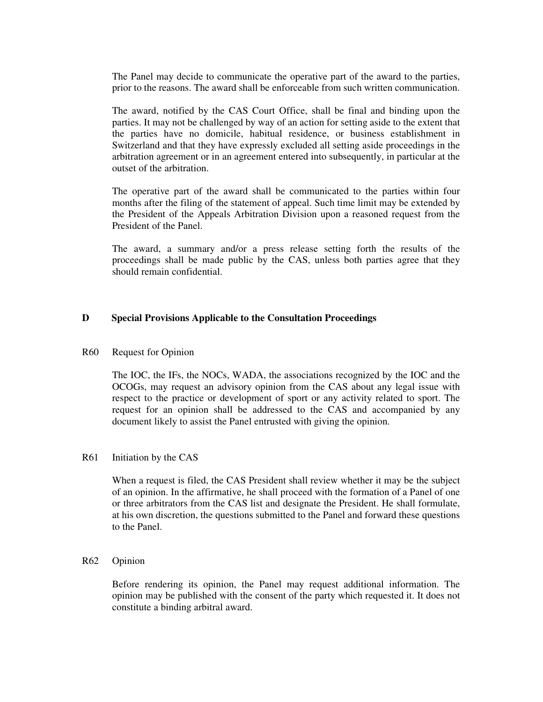The Panel may decide to communicate the operative part of the award to the parties, prior to the reasons. The award shall be enforceable from such written communication.

The award, notified by the CAS Court Office, shall be final and binding upon the parties. It may not be challenged by way of an action for setting aside to the extent that the parties have no domicile, habitual residence, or business establishment in Switzerland and that they have expressly excluded all setting aside proceedings in the arbitration agreement or in an agreement entered into subsequently, in particular at the outset of the arbitration.

The operative part of the award shall be communicated to the parties within four months after the filing of the statement of appeal. Such time limit may be extended by the President of the Appeals Arbitration Division upon a reasoned request from the President of the Panel.

The award, a summary and/or a press release setting forth the results of the proceedings shall be made public by the CAS, unless both parties agree that they should remain confidential.

### **D Special Provisions Applicable to the Consultation Proceedings**

### R60 Request for Opinion

The IOC, the IFs, the NOCs, WADA, the associations recognized by the IOC and the OCOGs, may request an advisory opinion from the CAS about any legal issue with respect to the practice or development of sport or any activity related to sport. The request for an opinion shall be addressed to the CAS and accompanied by any document likely to assist the Panel entrusted with giving the opinion.

#### R61 Initiation by the CAS

When a request is filed, the CAS President shall review whether it may be the subject of an opinion. In the affirmative, he shall proceed with the formation of a Panel of one or three arbitrators from the CAS list and designate the President. He shall formulate, at his own discretion, the questions submitted to the Panel and forward these questions to the Panel.

R62 Opinion

Before rendering its opinion, the Panel may request additional information. The opinion may be published with the consent of the party which requested it. It does not constitute a binding arbitral award.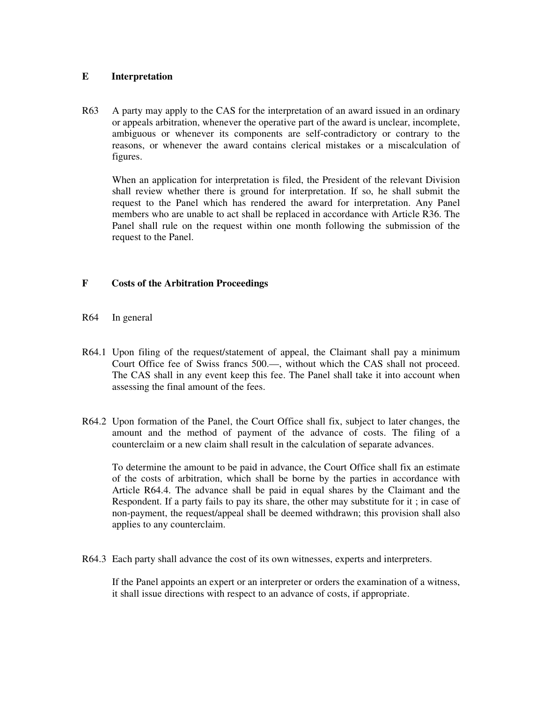### **E Interpretation**

R63 A party may apply to the CAS for the interpretation of an award issued in an ordinary or appeals arbitration, whenever the operative part of the award is unclear, incomplete, ambiguous or whenever its components are self-contradictory or contrary to the reasons, or whenever the award contains clerical mistakes or a miscalculation of figures.

When an application for interpretation is filed, the President of the relevant Division shall review whether there is ground for interpretation. If so, he shall submit the request to the Panel which has rendered the award for interpretation. Any Panel members who are unable to act shall be replaced in accordance with Article R36. The Panel shall rule on the request within one month following the submission of the request to the Panel.

### **F Costs of the Arbitration Proceedings**

- R64 In general
- R64.1 Upon filing of the request/statement of appeal, the Claimant shall pay a minimum Court Office fee of Swiss francs 500.—, without which the CAS shall not proceed. The CAS shall in any event keep this fee. The Panel shall take it into account when assessing the final amount of the fees.
- R64.2 Upon formation of the Panel, the Court Office shall fix, subject to later changes, the amount and the method of payment of the advance of costs. The filing of a counterclaim or a new claim shall result in the calculation of separate advances.

To determine the amount to be paid in advance, the Court Office shall fix an estimate of the costs of arbitration, which shall be borne by the parties in accordance with Article R64.4. The advance shall be paid in equal shares by the Claimant and the Respondent. If a party fails to pay its share, the other may substitute for it ; in case of non-payment, the request/appeal shall be deemed withdrawn; this provision shall also applies to any counterclaim.

R64.3 Each party shall advance the cost of its own witnesses, experts and interpreters.

If the Panel appoints an expert or an interpreter or orders the examination of a witness, it shall issue directions with respect to an advance of costs, if appropriate.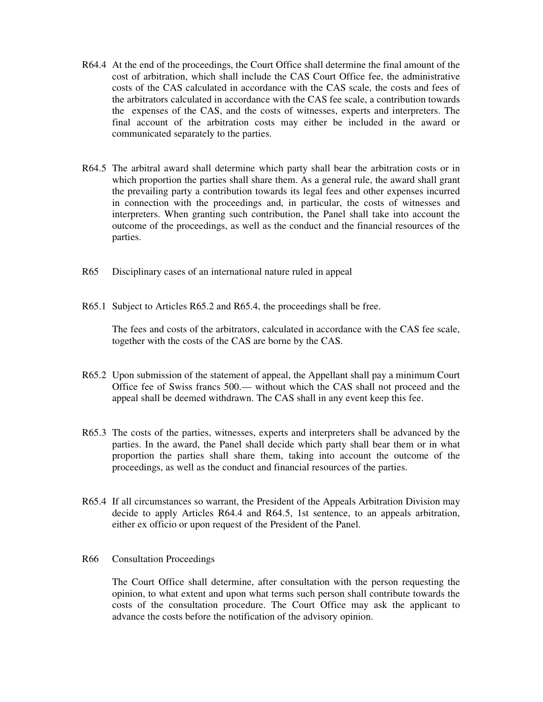- R64.4 At the end of the proceedings, the Court Office shall determine the final amount of the cost of arbitration, which shall include the CAS Court Office fee, the administrative costs of the CAS calculated in accordance with the CAS scale, the costs and fees of the arbitrators calculated in accordance with the CAS fee scale, a contribution towards the expenses of the CAS, and the costs of witnesses, experts and interpreters. The final account of the arbitration costs may either be included in the award or communicated separately to the parties.
- R64.5 The arbitral award shall determine which party shall bear the arbitration costs or in which proportion the parties shall share them. As a general rule, the award shall grant the prevailing party a contribution towards its legal fees and other expenses incurred in connection with the proceedings and, in particular, the costs of witnesses and interpreters. When granting such contribution, the Panel shall take into account the outcome of the proceedings, as well as the conduct and the financial resources of the parties.
- R65 Disciplinary cases of an international nature ruled in appeal
- R65.1 Subject to Articles R65.2 and R65.4, the proceedings shall be free.

The fees and costs of the arbitrators, calculated in accordance with the CAS fee scale, together with the costs of the CAS are borne by the CAS.

- R65.2 Upon submission of the statement of appeal, the Appellant shall pay a minimum Court Office fee of Swiss francs 500.— without which the CAS shall not proceed and the appeal shall be deemed withdrawn. The CAS shall in any event keep this fee.
- R65.3 The costs of the parties, witnesses, experts and interpreters shall be advanced by the parties. In the award, the Panel shall decide which party shall bear them or in what proportion the parties shall share them, taking into account the outcome of the proceedings, as well as the conduct and financial resources of the parties.
- R65.4 If all circumstances so warrant, the President of the Appeals Arbitration Division may decide to apply Articles R64.4 and R64.5, 1st sentence, to an appeals arbitration, either ex officio or upon request of the President of the Panel.

#### R66 Consultation Proceedings

The Court Office shall determine, after consultation with the person requesting the opinion, to what extent and upon what terms such person shall contribute towards the costs of the consultation procedure. The Court Office may ask the applicant to advance the costs before the notification of the advisory opinion.